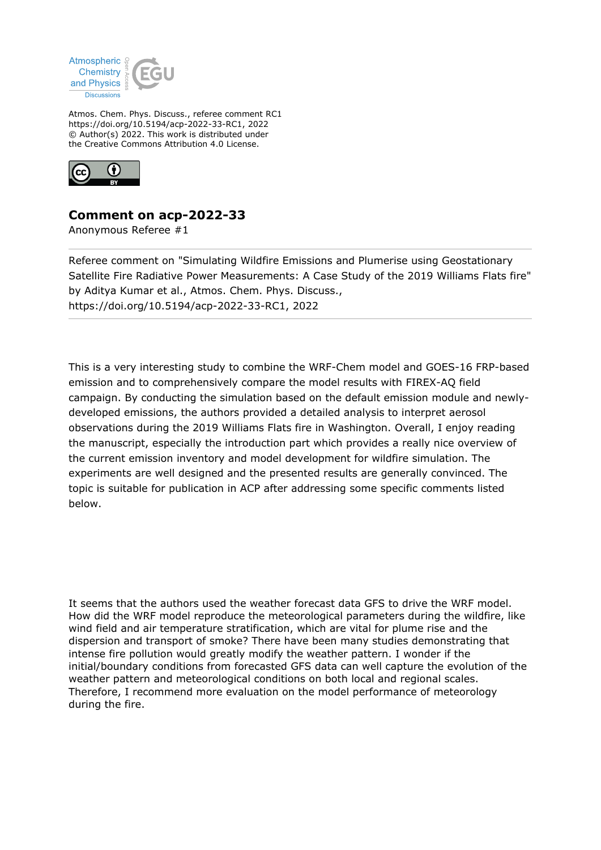

Atmos. Chem. Phys. Discuss., referee comment RC1 https://doi.org/10.5194/acp-2022-33-RC1, 2022 © Author(s) 2022. This work is distributed under the Creative Commons Attribution 4.0 License.



## **Comment on acp-2022-33**

Anonymous Referee #1

Referee comment on "Simulating Wildfire Emissions and Plumerise using Geostationary Satellite Fire Radiative Power Measurements: A Case Study of the 2019 Williams Flats fire" by Aditya Kumar et al., Atmos. Chem. Phys. Discuss., https://doi.org/10.5194/acp-2022-33-RC1, 2022

This is a very interesting study to combine the WRF-Chem model and GOES-16 FRP-based emission and to comprehensively compare the model results with FIREX-AQ field campaign. By conducting the simulation based on the default emission module and newlydeveloped emissions, the authors provided a detailed analysis to interpret aerosol observations during the 2019 Williams Flats fire in Washington. Overall, I enjoy reading the manuscript, especially the introduction part which provides a really nice overview of the current emission inventory and model development for wildfire simulation. The experiments are well designed and the presented results are generally convinced. The topic is suitable for publication in ACP after addressing some specific comments listed below.

It seems that the authors used the weather forecast data GFS to drive the WRF model. How did the WRF model reproduce the meteorological parameters during the wildfire, like wind field and air temperature stratification, which are vital for plume rise and the dispersion and transport of smoke? There have been many studies demonstrating that intense fire pollution would greatly modify the weather pattern. I wonder if the initial/boundary conditions from forecasted GFS data can well capture the evolution of the weather pattern and meteorological conditions on both local and regional scales. Therefore, I recommend more evaluation on the model performance of meteorology during the fire.